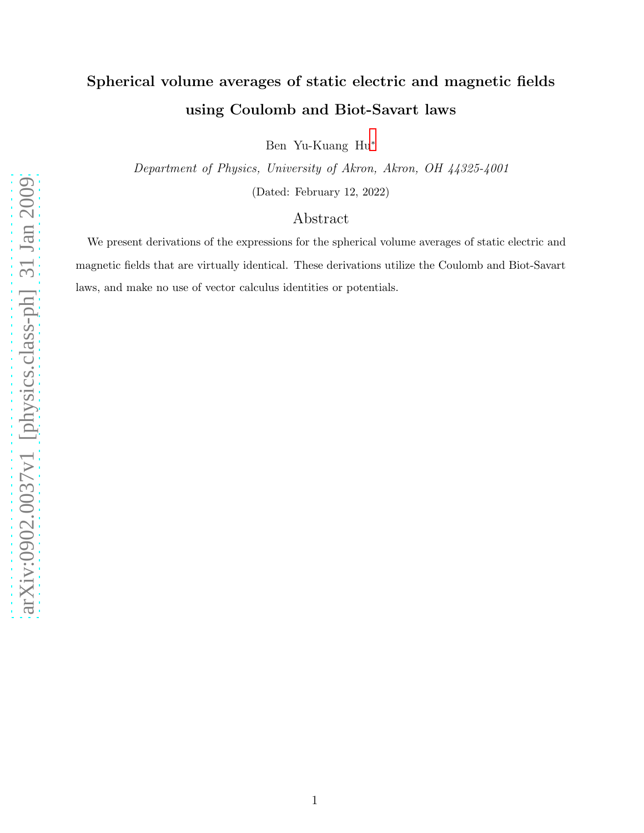# Spherical volume averages of static electric and magnetic fields using Coulomb and Biot-Savart laws

Ben Yu-Kuang Hu[∗](#page-5-0)

Department of Physics, University of Akron, Akron, OH 44325-4001 (Dated: February 12, 2022)

# Abstract

We present derivations of the expressions for the spherical volume averages of static electric and magnetic fields that are virtually identical. These derivations utilize the Coulomb and Biot-Savart laws, and make no use of vector calculus identities or potentials.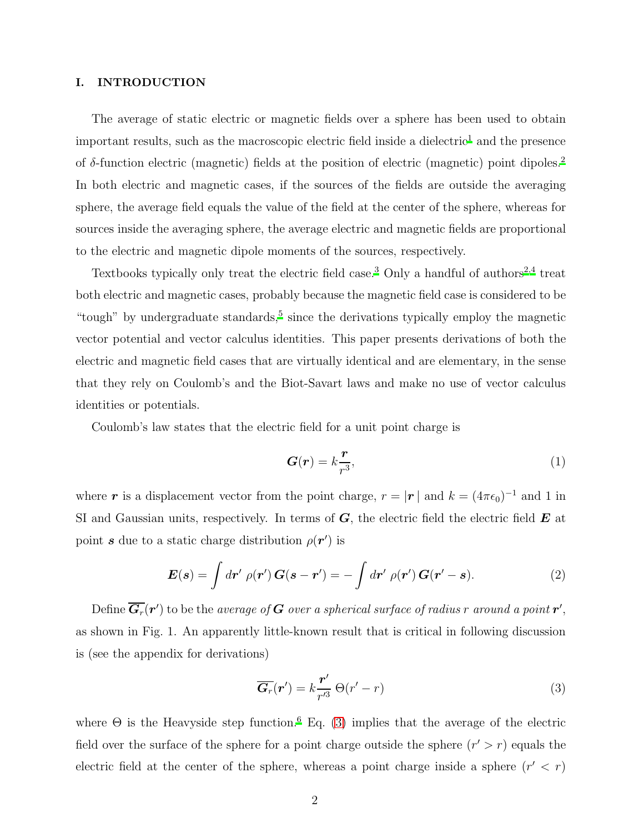# I. INTRODUCTION

The average of static electric or magnetic fields over a sphere has been used to obtain important results, such as the macroscopic electric field inside a dielectric<sup>[1](#page-5-1)</sup> and the presence of δ-function electric (magnetic) fields at the position of electric (magnetic) point dipoles.<sup>[2](#page-5-2)</sup> In both electric and magnetic cases, if the sources of the fields are outside the averaging sphere, the average field equals the value of the field at the center of the sphere, whereas for sources inside the averaging sphere, the average electric and magnetic fields are proportional to the electric and magnetic dipole moments of the sources, respectively.

Textbooks typically only treat the electric field case.<sup>[3](#page-5-3)</sup> Only a handful of authors<sup>[2](#page-5-2)[,4](#page-6-0)</sup> treat both electric and magnetic cases, probably because the magnetic field case is considered to be "tough" by undergraduate standards, $5$  since the derivations typically employ the magnetic vector potential and vector calculus identities. This paper presents derivations of both the electric and magnetic field cases that are virtually identical and are elementary, in the sense that they rely on Coulomb's and the Biot-Savart laws and make no use of vector calculus identities or potentials.

Coulomb's law states that the electric field for a unit point charge is

<span id="page-1-1"></span>
$$
G(r) = k \frac{r}{r^3},\tag{1}
$$

where r is a displacement vector from the point charge,  $r = |\mathbf{r}|$  and  $k = (4\pi\epsilon_0)^{-1}$  and 1 in SI and Gaussian units, respectively. In terms of  $G$ , the electric field the electric field  $E$  at point s due to a static charge distribution  $\rho(\mathbf{r}')$  is

$$
\boldsymbol{E}(\boldsymbol{s}) = \int d\boldsymbol{r}' \; \rho(\boldsymbol{r}') \, \boldsymbol{G}(\boldsymbol{s} - \boldsymbol{r}') = -\int d\boldsymbol{r}' \; \rho(\boldsymbol{r}') \, \boldsymbol{G}(\boldsymbol{r}' - \boldsymbol{s}). \tag{2}
$$

Define  $\overline{\bm{G}_r}(\bm{r}')$  to be the average of  $\bm{G}$  over a spherical surface of radius  $r$  around a point  $\bm{r}',$ as shown in Fig. 1. An apparently little-known result that is critical in following discussion is (see the appendix for derivations)

<span id="page-1-0"></span>
$$
\overline{G_r}(r') = k \frac{r'}{r'^3} \Theta(r'-r)
$$
\n(3)

where  $\Theta$  is the Heavyside step function.<sup>[6](#page-6-2)</sup> Eq. [\(3\)](#page-1-0) implies that the average of the electric field over the surface of the sphere for a point charge outside the sphere  $(r' > r)$  equals the electric field at the center of the sphere, whereas a point charge inside a sphere  $(r' < r)$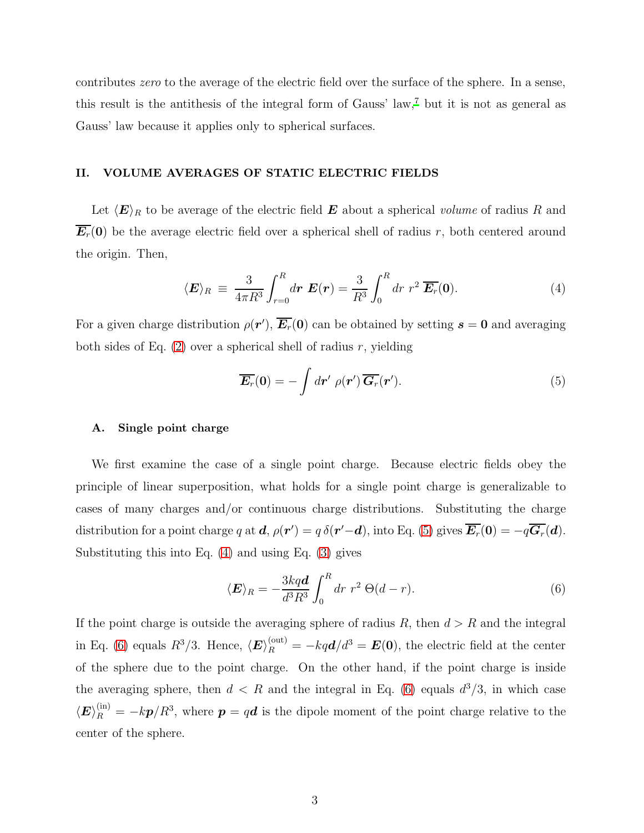contributes zero to the average of the electric field over the surface of the sphere. In a sense, this result is the antithesis of the integral form of Gauss' law,[7](#page-6-3) but it is not as general as Gauss' law because it applies only to spherical surfaces.

# II. VOLUME AVERAGES OF STATIC ELECTRIC FIELDS

Let  $\langle E \rangle_R$  to be average of the electric field **E** about a spherical volume of radius R and  $\overline{E_r}(0)$  be the average electric field over a spherical shell of radius r, both centered around the origin. Then,

<span id="page-2-1"></span>
$$
\langle E \rangle_R \equiv \frac{3}{4\pi R^3} \int_{r=0}^R dr \mathbf{E}(\mathbf{r}) = \frac{3}{R^3} \int_0^R dr \ r^2 \overline{\mathbf{E}_r}(\mathbf{0}). \tag{4}
$$

For a given charge distribution  $\rho(\mathbf{r}')$ ,  $\overline{\mathbf{E}_r}(\mathbf{0})$  can be obtained by setting  $\mathbf{s} = \mathbf{0}$  and averaging both sides of Eq.  $(2)$  over a spherical shell of radius r, yielding

<span id="page-2-0"></span>
$$
\overline{E_r}(0) = -\int dr' \, \rho(\mathbf{r}') \, \overline{G_r}(\mathbf{r}'). \tag{5}
$$

# A. Single point charge

We first examine the case of a single point charge. Because electric fields obey the principle of linear superposition, what holds for a single point charge is generalizable to cases of many charges and/or continuous charge distributions. Substituting the charge distribution for a point charge q at  $d$ ,  $\rho(r') = q \,\delta(r'-d)$ , into Eq. [\(5\)](#page-2-0) gives  $\overline{E_r}(0) = -q \overline{G_r}(d)$ . Substituting this into Eq. [\(4\)](#page-2-1) and using Eq. [\(3\)](#page-1-0) gives

<span id="page-2-2"></span>
$$
\langle E \rangle_R = -\frac{3kq\mathbf{d}}{d^3 R^3} \int_0^R dr \ r^2 \ \Theta(d-r). \tag{6}
$$

If the point charge is outside the averaging sphere of radius  $R$ , then  $d > R$  and the integral in Eq. [\(6\)](#page-2-2) equals  $R^3/3$ . Hence,  $\langle E \rangle_R^{(\text{out})} = -kq\boldsymbol{d}/d^3 = \boldsymbol{E}(0)$ , the electric field at the center of the sphere due to the point charge. On the other hand, if the point charge is inside the averaging sphere, then  $d < R$  and the integral in Eq. [\(6\)](#page-2-2) equals  $d^3/3$ , in which case  $\langle E \rangle_R^{(in)} = -k\bm{p}/R^3$ , where  $\bm{p} = q\bm{d}$  is the dipole moment of the point charge relative to the center of the sphere.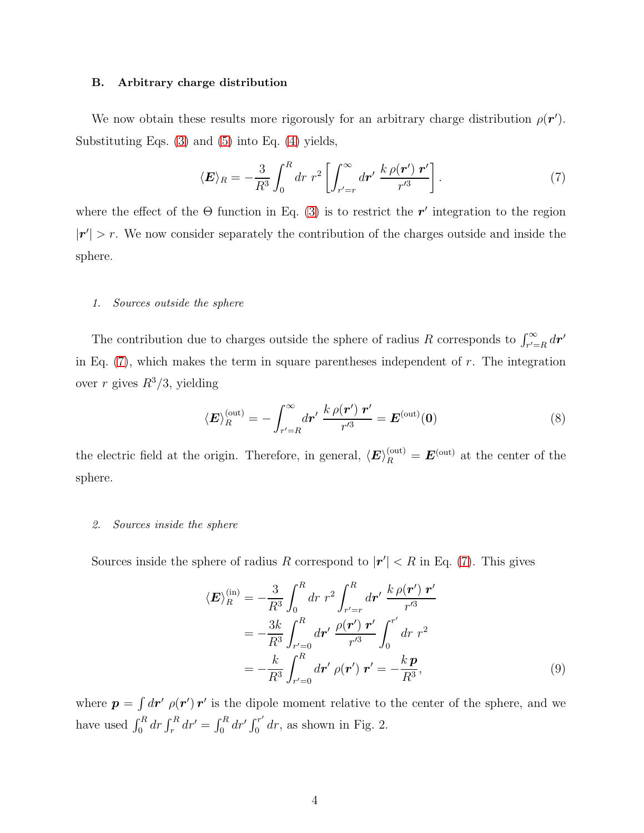#### B. Arbitrary charge distribution

We now obtain these results more rigorously for an arbitrary charge distribution  $\rho(\mathbf{r}')$ . Substituting Eqs. [\(3\)](#page-1-0) and [\(5\)](#page-2-0) into Eq. [\(4\)](#page-2-1) yields,

<span id="page-3-0"></span>
$$
\langle E \rangle_R = -\frac{3}{R^3} \int_0^R dr \ r^2 \left[ \int_{r'=r}^\infty dr' \ \frac{k \,\rho(\boldsymbol{r}') \ \boldsymbol{r}'}{r'^3} \right]. \tag{7}
$$

where the effect of the  $\Theta$  function in Eq. [\(3\)](#page-1-0) is to restrict the r' integration to the region  $|r'| > r$ . We now consider separately the contribution of the charges outside and inside the sphere.

# *1. Sources outside the sphere*

The contribution due to charges outside the sphere of radius R corresponds to  $\int_{r'=R}^{\infty} dr'$ in Eq.  $(7)$ , which makes the term in square parentheses independent of r. The integration over r gives  $R^3/3$ , yielding

<span id="page-3-1"></span>
$$
\langle E \rangle_R^{(\text{out})} = -\int_{r'=R}^{\infty} d\mathbf{r}' \frac{k \rho(\mathbf{r}') \mathbf{r}'}{r'^3} = E^{(\text{out})}(0) \tag{8}
$$

the electric field at the origin. Therefore, in general,  $\langle E \rangle_R^{\text{(out)}} = E^{\text{(out)}}$  at the center of the sphere.

#### *2. Sources inside the sphere*

Sources inside the sphere of radius R correspond to  $|r'| < R$  in Eq. [\(7\)](#page-3-0). This gives

<span id="page-3-2"></span>
$$
\langle E \rangle_R^{(\text{in})} = -\frac{3}{R^3} \int_0^R dr \ r^2 \int_{r'=r}^R dr' \ \frac{k \rho(\mathbf{r}') \ \mathbf{r}'}{r'^3} \n= -\frac{3k}{R^3} \int_{r'=0}^R dr' \ \frac{\rho(\mathbf{r}') \ \mathbf{r}'}{r'^3} \int_0^{r'} dr \ r^2 \n= -\frac{k}{R^3} \int_{r'=0}^R dr' \ \rho(\mathbf{r}') \ \mathbf{r}' = -\frac{k \ \mathbf{p}}{R^3},
$$
\n(9)

where  $p = \int dr' \rho(r') r'$  is the dipole moment relative to the center of the sphere, and we have used  $\int_0^R dr \int_r^R dr' = \int_0^R dr' \int_0^{r'}$  $\int_0^r dr$ , as shown in Fig. 2.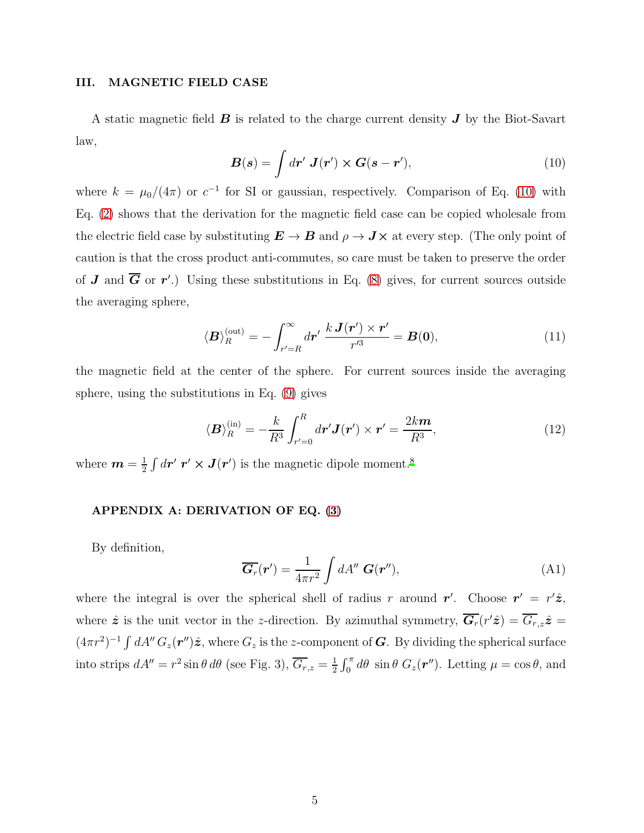## III. MAGNETIC FIELD CASE

A static magnetic field  $\bm{B}$  is related to the charge current density  $\bm{J}$  by the Biot-Savart law,

<span id="page-4-0"></span>
$$
\boldsymbol{B}(\boldsymbol{s}) = \int d\boldsymbol{r}' \ \boldsymbol{J}(\boldsymbol{r}') \times \boldsymbol{G}(\boldsymbol{s} - \boldsymbol{r}'), \tag{10}
$$

where  $k = \mu_0/(4\pi)$  or  $c^{-1}$  for SI or gaussian, respectively. Comparison of Eq. [\(10\)](#page-4-0) with Eq. [\(2\)](#page-1-1) shows that the derivation for the magnetic field case can be copied wholesale from the electric field case by substituting  $E \to B$  and  $\rho \to J \times$  at every step. (The only point of caution is that the cross product anti-commutes, so care must be taken to preserve the order of **J** and  $\overline{G}$  or  $r'$ .) Using these substitutions in Eq. [\(8\)](#page-3-1) gives, for current sources outside the averaging sphere,

$$
\langle \mathbf{B} \rangle_R^{(\text{out})} = -\int_{r'=R}^{\infty} dr' \frac{k \mathbf{J}(r') \times r'}{r'^3} = \mathbf{B}(\mathbf{0}), \tag{11}
$$

the magnetic field at the center of the sphere. For current sources inside the averaging sphere, using the substitutions in Eq. [\(9\)](#page-3-2) gives

$$
\langle \mathbf{B} \rangle_R^{(\text{in})} = -\frac{k}{R^3} \int_{r'=0}^R d\mathbf{r}' \mathbf{J}(\mathbf{r}') \times \mathbf{r}' = \frac{2k\mathbf{m}}{R^3},\tag{12}
$$

where  $m=\frac{1}{2}$  $\frac{1}{2} \int d\boldsymbol{r}' \; \boldsymbol{r}' \times \boldsymbol{J}(\boldsymbol{r}')$  is the magnetic dipole moment.<sup>[8](#page-6-4)</sup>

# APPENDIX A: DERIVATION OF EQ. [\(3\)](#page-1-0)

By definition,

$$
\overline{G_r}(\boldsymbol{r}') = \frac{1}{4\pi r^2} \int dA'' \, \boldsymbol{G}(\boldsymbol{r}''), \tag{A1}
$$

where the integral is over the spherical shell of radius r around r'. Choose  $r' = r' \hat{z}$ , where  $\hat{z}$  is the unit vector in the z-direction. By azimuthal symmetry,  $\overline{G_r}(r'\hat{z}) = \overline{G_{r,z}}\hat{z} =$  $(4\pi r^2)^{-1} \int dA'' G_z(\mathbf{r''}) \hat{z}$ , where  $G_z$  is the z-component of G. By dividing the spherical surface into strips  $dA'' = r^2 \sin \theta d\theta$  (see Fig. 3),  $\overline{G_{r,z}} = \frac{1}{2}$  $\frac{1}{2} \int_0^{\pi} d\theta \sin \theta G_z(\mathbf{r}^{"})$ . Letting  $\mu = \cos \theta$ , and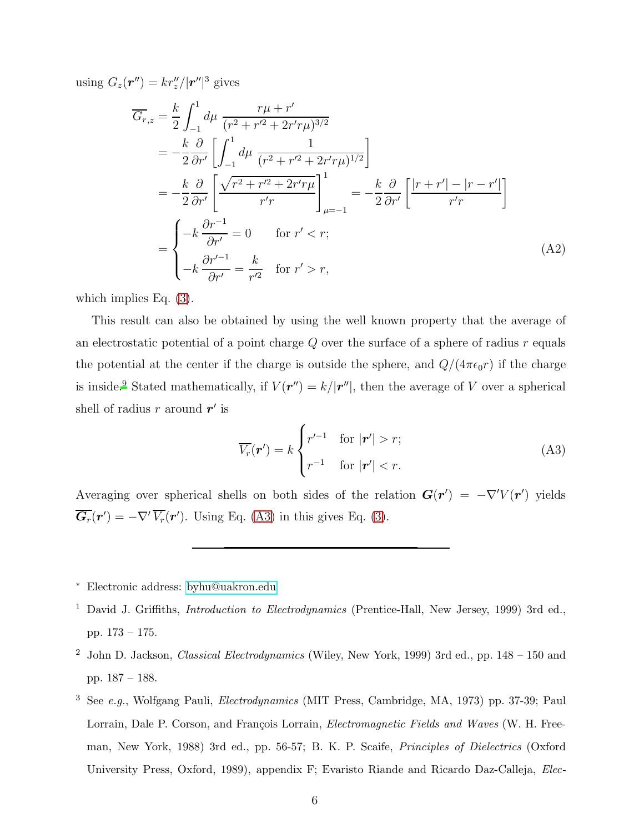using  $G_z(\mathbf{r}'' ) = kr''_z / |\mathbf{r}''|^3$  gives

$$
\overline{G_{r,z}} = \frac{k}{2} \int_{-1}^{1} d\mu \frac{r\mu + r'}{(r^2 + r'^2 + 2r'r\mu)^{3/2}}
$$
\n
$$
= -\frac{k}{2} \frac{\partial}{\partial r'} \left[ \int_{-1}^{1} d\mu \frac{1}{(r^2 + r'^2 + 2r'r\mu)^{1/2}} \right]
$$
\n
$$
= -\frac{k}{2} \frac{\partial}{\partial r'} \left[ \frac{\sqrt{r^2 + r'^2 + 2r'r\mu}}{r'r} \right]_{\mu=-1}^{1} = -\frac{k}{2} \frac{\partial}{\partial r'} \left[ \frac{|r + r'| - |r - r'|}{r'r} \right]
$$
\n
$$
= \begin{cases}\n-k \frac{\partial r^{-1}}{\partial r'} = 0 & \text{for } r' < r; \\
-k \frac{\partial r'^{-1}}{\partial r'} = \frac{k}{r'^2} & \text{for } r' > r,\n\end{cases} \tag{A2}
$$

which implies Eq. [\(3\)](#page-1-0).

This result can also be obtained by using the well known property that the average of an electrostatic potential of a point charge  $Q$  over the surface of a sphere of radius  $r$  equals the potential at the center if the charge is outside the sphere, and  $Q/(4\pi\epsilon_0r)$  if the charge is inside.<sup>[9](#page-6-5)</sup> Stated mathematically, if  $V(\mathbf{r}^{\prime\prime}) = k/|\mathbf{r}^{\prime\prime}|$ , then the average of V over a spherical shell of radius r around  $r'$  is

<span id="page-5-4"></span>
$$
\overline{V_r}(\boldsymbol{r}') = k \begin{cases} r'^{-1} & \text{for } |\boldsymbol{r}'| > r; \\ r^{-1} & \text{for } |\boldsymbol{r}'| < r. \end{cases} \tag{A3}
$$

Averaging over spherical shells on both sides of the relation  $G(r') = -\nabla^{\prime} V(r')$  yields  $\overline{G_r}(r') = -\nabla'\,\overline{V_r}(r')$ . Using Eq. [\(A3\)](#page-5-4) in this gives Eq. [\(3\)](#page-1-0).

- <sup>∗</sup> Electronic address: [byhu@uakron.edu](mailto:byhu@uakron.edu)
- <span id="page-5-1"></span><span id="page-5-0"></span><sup>1</sup> David J. Griffiths, *Introduction to Electrodynamics* (Prentice-Hall, New Jersey, 1999) 3rd ed., pp. 173 – 175.
- <span id="page-5-2"></span><sup>2</sup> John D. Jackson, *Classical Electrodynamics* (Wiley, New York, 1999) 3rd ed., pp. 148 – 150 and pp. 187 – 188.
- <span id="page-5-3"></span><sup>3</sup> See *e.g.*, Wolfgang Pauli, *Electrodynamics* (MIT Press, Cambridge, MA, 1973) pp. 37-39; Paul Lorrain, Dale P. Corson, and François Lorrain, *Electromagnetic Fields and Waves* (W. H. Freeman, New York, 1988) 3rd ed., pp. 56-57; B. K. P. Scaife, *Principles of Dielectrics* (Oxford University Press, Oxford, 1989), appendix F; Evaristo Riande and Ricardo Daz-Calleja, *Elec-*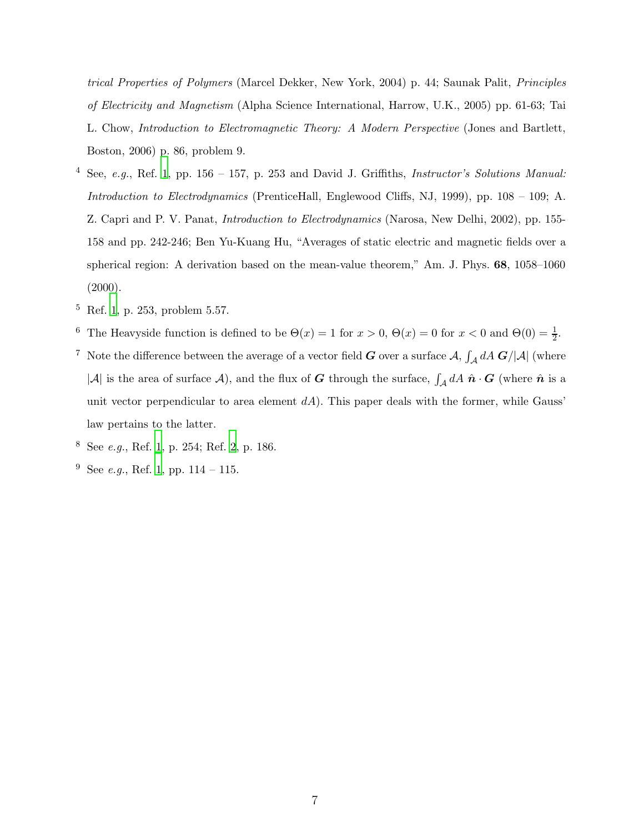*trical Properties of Polymers* (Marcel Dekker, New York, 2004) p. 44; Saunak Palit, *Principles of Electricity and Magnetism* (Alpha Science International, Harrow, U.K., 2005) pp. 61-63; Tai L. Chow, *Introduction to Electromagnetic Theory: A Modern Perspective* (Jones and Bartlett, Boston, 2006) p. 86, problem 9.

- <span id="page-6-0"></span><sup>4</sup> See, *e.g.*, Ref. [1,](#page-5-1) pp. 156 – 157, p. 253 and David J. Griffiths, *Instructor's Solutions Manual: Introduction to Electrodynamics* (PrenticeHall, Englewood Cliffs, NJ, 1999), pp. 108 – 109; A. Z. Capri and P. V. Panat, *Introduction to Electrodynamics* (Narosa, New Delhi, 2002), pp. 155- 158 and pp. 242-246; Ben Yu-Kuang Hu, "Averages of static electric and magnetic fields over a spherical region: A derivation based on the mean-value theorem," Am. J. Phys. 68, 1058–1060  $(2000).$
- <span id="page-6-1"></span><sup>5</sup> Ref. [1](#page-5-1), p. 253, problem 5.57.
- <span id="page-6-2"></span><sup>6</sup> The Heavyside function is defined to be  $\Theta(x) = 1$  for  $x > 0$ ,  $\Theta(x) = 0$  for  $x < 0$  and  $\Theta(0) = \frac{1}{2}$ .
- <span id="page-6-3"></span><sup>7</sup> Note the difference between the average of a vector field  $G$  over a surface  $A$ ,  $\int_{\mathcal{A}} dA \ G/|\mathcal{A}|$  (where |A| is the area of surface A), and the flux of G through the surface,  $\int_{\mathcal{A}} dA \hat{\mathbf{n}} \cdot \mathbf{G}$  (where  $\hat{\mathbf{n}}$  is a unit vector perpendicular to area element  $dA$ ). This paper deals with the former, while Gauss' law pertains to the latter.
- <span id="page-6-4"></span><sup>8</sup> See *e.g.*, Ref. [1,](#page-5-1) p. 254; Ref. [2,](#page-5-2) p. 186.
- <span id="page-6-5"></span><sup>9</sup> See *e.g.*, Ref. [1,](#page-5-1) pp. 114 – 115.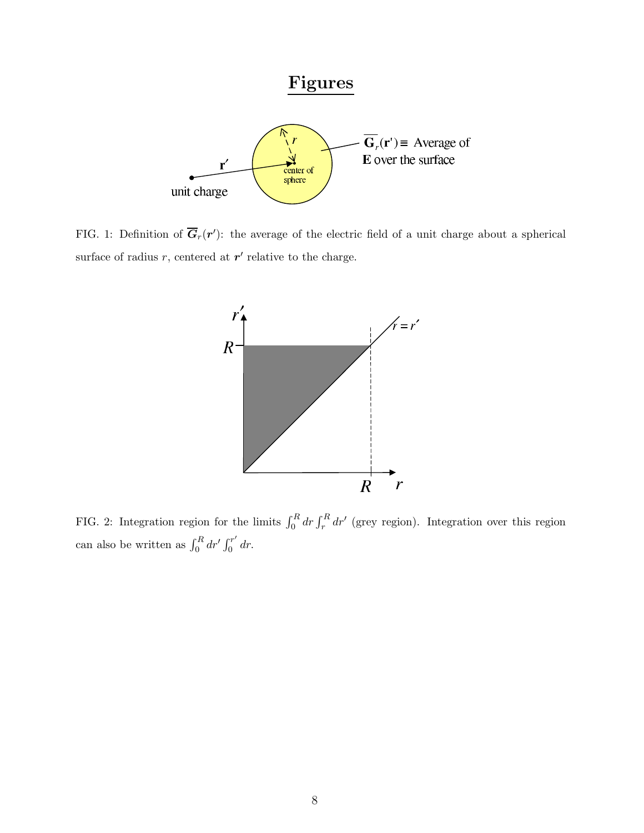

FIG. 1: Definition of  $\overline{G}_r(r')$ : the average of the electric field of a unit charge about a spherical surface of radius  $r$ , centered at  $r'$  relative to the charge.



FIG. 2: Integration region for the limits  $\int_0^R dr \int_r^R dr'$  (grey region). Integration over this region can also be written as  $\int_0^R dr' \int_0^{r'}$  $\int_0^r dr$ .